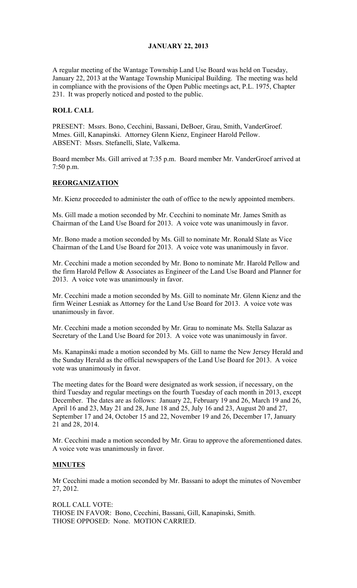## JANUARY 22, 2013

A regular meeting of the Wantage Township Land Use Board was held on Tuesday, January 22, 2013 at the Wantage Township Municipal Building. The meeting was held in compliance with the provisions of the Open Public meetings act, P.L. 1975, Chapter 231. It was properly noticed and posted to the public.

#### ROLL CALL

PRESENT: Mssrs. Bono, Cecchini, Bassani, DeBoer, Grau, Smith, VanderGroef. Mmes. Gill, Kanapinski. Attorney Glenn Kienz, Engineer Harold Pellow. ABSENT: Mssrs. Stefanelli, Slate, Valkema.

Board member Ms. Gill arrived at 7:35 p.m. Board member Mr. VanderGroef arrived at 7:50 p.m.

#### REORGANIZATION

Mr. Kienz proceeded to administer the oath of office to the newly appointed members.

Ms. Gill made a motion seconded by Mr. Cecchini to nominate Mr. James Smith as Chairman of the Land Use Board for 2013. A voice vote was unanimously in favor.

Mr. Bono made a motion seconded by Ms. Gill to nominate Mr. Ronald Slate as Vice Chairman of the Land Use Board for 2013. A voice vote was unanimously in favor.

Mr. Cecchini made a motion seconded by Mr. Bono to nominate Mr. Harold Pellow and the firm Harold Pellow & Associates as Engineer of the Land Use Board and Planner for 2013. A voice vote was unanimously in favor.

Mr. Cecchini made a motion seconded by Ms. Gill to nominate Mr. Glenn Kienz and the firm Weiner Lesniak as Attorney for the Land Use Board for 2013. A voice vote was unanimously in favor.

Mr. Cecchini made a motion seconded by Mr. Grau to nominate Ms. Stella Salazar as Secretary of the Land Use Board for 2013. A voice vote was unanimously in favor.

Ms. Kanapinski made a motion seconded by Ms. Gill to name the New Jersey Herald and the Sunday Herald as the official newspapers of the Land Use Board for 2013. A voice vote was unanimously in favor.

The meeting dates for the Board were designated as work session, if necessary, on the third Tuesday and regular meetings on the fourth Tuesday of each month in 2013, except December. The dates are as follows: January 22, February 19 and 26, March 19 and 26, April 16 and 23, May 21 and 28, June 18 and 25, July 16 and 23, August 20 and 27, September 17 and 24, October 15 and 22, November 19 and 26, December 17, January 21 and 28, 2014.

Mr. Cecchini made a motion seconded by Mr. Grau to approve the aforementioned dates. A voice vote was unanimously in favor.

#### MINUTES

Mr Cecchini made a motion seconded by Mr. Bassani to adopt the minutes of November 27, 2012.

ROLL CALL VOTE: THOSE IN FAVOR: Bono, Cecchini, Bassani, Gill, Kanapinski, Smith. THOSE OPPOSED: None. MOTION CARRIED.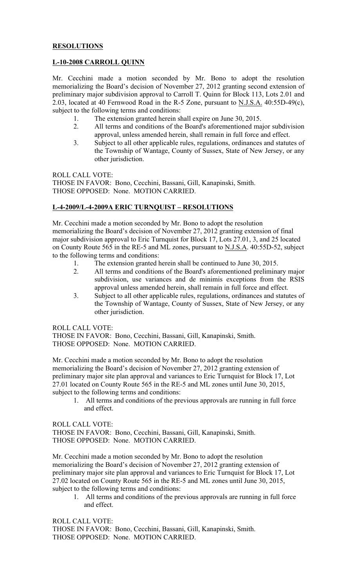## **RESOLUTIONS**

## L-10-2008 CARROLL QUINN

Mr. Cecchini made a motion seconded by Mr. Bono to adopt the resolution memorializing the Board's decision of November 27, 2012 granting second extension of preliminary major subdivision approval to Carroll T. Quinn for Block 113, Lots 2.01 and 2.03, located at 40 Fernwood Road in the R-5 Zone, pursuant to N.J.S.A. 40:55D-49(c), subject to the following terms and conditions:

- 1. The extension granted herein shall expire on June 30, 2015.
- 2. All terms and conditions of the Board's aforementioned major subdivision approval, unless amended herein, shall remain in full force and effect.
- 3. Subject to all other applicable rules, regulations, ordinances and statutes of the Township of Wantage, County of Sussex, State of New Jersey, or any other jurisdiction.

ROLL CALL VOTE:

THOSE IN FAVOR: Bono, Cecchini, Bassani, Gill, Kanapinski, Smith. THOSE OPPOSED: None. MOTION CARRIED.

# L-4-2009/L-4-2009A ERIC TURNQUIST – RESOLUTIONS

Mr. Cecchini made a motion seconded by Mr. Bono to adopt the resolution memorializing the Board's decision of November 27, 2012 granting extension of final major subdivision approval to Eric Turnquist for Block 17, Lots 27.01, 3, and 25 located on County Route 565 in the RE-5 and ML zones, pursuant to N.J.S.A. 40:55D-52, subject to the following terms and conditions:

- 1. The extension granted herein shall be continued to June 30, 2015.
- 2. All terms and conditions of the Board's aforementioned preliminary major subdivision, use variances and de minimis exceptions from the RSIS approval unless amended herein, shall remain in full force and effect.
- 3. Subject to all other applicable rules, regulations, ordinances and statutes of the Township of Wantage, County of Sussex, State of New Jersey, or any other jurisdiction.

ROLL CALL VOTE:

THOSE IN FAVOR: Bono, Cecchini, Bassani, Gill, Kanapinski, Smith. THOSE OPPOSED: None. MOTION CARRIED.

Mr. Cecchini made a motion seconded by Mr. Bono to adopt the resolution memorializing the Board's decision of November 27, 2012 granting extension of preliminary major site plan approval and variances to Eric Turnquist for Block 17, Lot 27.01 located on County Route 565 in the RE-5 and ML zones until June 30, 2015, subject to the following terms and conditions:

1. All terms and conditions of the previous approvals are running in full force and effect.

ROLL CALL VOTE: THOSE IN FAVOR: Bono, Cecchini, Bassani, Gill, Kanapinski, Smith. THOSE OPPOSED: None. MOTION CARRIED.

Mr. Cecchini made a motion seconded by Mr. Bono to adopt the resolution memorializing the Board's decision of November 27, 2012 granting extension of preliminary major site plan approval and variances to Eric Turnquist for Block 17, Lot 27.02 located on County Route 565 in the RE-5 and ML zones until June 30, 2015, subject to the following terms and conditions:

1. All terms and conditions of the previous approvals are running in full force and effect.

ROLL CALL VOTE: THOSE IN FAVOR: Bono, Cecchini, Bassani, Gill, Kanapinski, Smith. THOSE OPPOSED: None. MOTION CARRIED.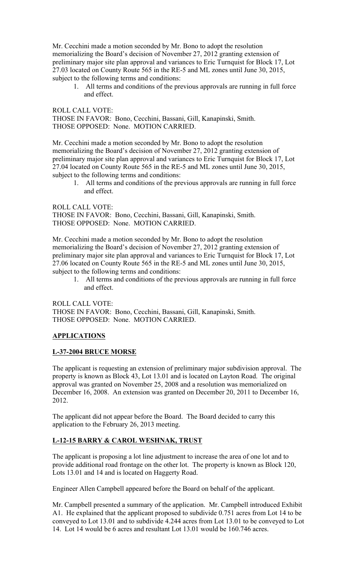Mr. Cecchini made a motion seconded by Mr. Bono to adopt the resolution memorializing the Board's decision of November 27, 2012 granting extension of preliminary major site plan approval and variances to Eric Turnquist for Block 17, Lot 27.03 located on County Route 565 in the RE-5 and ML zones until June 30, 2015, subject to the following terms and conditions:

1. All terms and conditions of the previous approvals are running in full force and effect.

ROLL CALL VOTE: THOSE IN FAVOR: Bono, Cecchini, Bassani, Gill, Kanapinski, Smith. THOSE OPPOSED: None. MOTION CARRIED.

Mr. Cecchini made a motion seconded by Mr. Bono to adopt the resolution memorializing the Board's decision of November 27, 2012 granting extension of preliminary major site plan approval and variances to Eric Turnquist for Block 17, Lot 27.04 located on County Route 565 in the RE-5 and ML zones until June 30, 2015, subject to the following terms and conditions:

1. All terms and conditions of the previous approvals are running in full force and effect.

ROLL CALL VOTE: THOSE IN FAVOR: Bono, Cecchini, Bassani, Gill, Kanapinski, Smith. THOSE OPPOSED: None. MOTION CARRIED.

Mr. Cecchini made a motion seconded by Mr. Bono to adopt the resolution memorializing the Board's decision of November 27, 2012 granting extension of preliminary major site plan approval and variances to Eric Turnquist for Block 17, Lot 27.06 located on County Route 565 in the RE-5 and ML zones until June 30, 2015, subject to the following terms and conditions:

1. All terms and conditions of the previous approvals are running in full force and effect.

ROLL CALL VOTE: THOSE IN FAVOR: Bono, Cecchini, Bassani, Gill, Kanapinski, Smith. THOSE OPPOSED: None. MOTION CARRIED.

# **APPLICATIONS**

## L-37-2004 BRUCE MORSE

The applicant is requesting an extension of preliminary major subdivision approval. The property is known as Block 43, Lot 13.01 and is located on Layton Road. The original approval was granted on November 25, 2008 and a resolution was memorialized on December 16, 2008. An extension was granted on December 20, 2011 to December 16, 2012.

The applicant did not appear before the Board. The Board decided to carry this application to the February 26, 2013 meeting.

## L-12-15 BARRY & CAROL WESHNAK, TRUST

The applicant is proposing a lot line adjustment to increase the area of one lot and to provide additional road frontage on the other lot. The property is known as Block 120, Lots 13.01 and 14 and is located on Haggerty Road.

Engineer Allen Campbell appeared before the Board on behalf of the applicant.

Mr. Campbell presented a summary of the application. Mr. Campbell introduced Exhibit A1. He explained that the applicant proposed to subdivide 0.751 acres from Lot 14 to be conveyed to Lot 13.01 and to subdivide 4.244 acres from Lot 13.01 to be conveyed to Lot 14. Lot 14 would be 6 acres and resultant Lot 13.01 would be 160.746 acres.